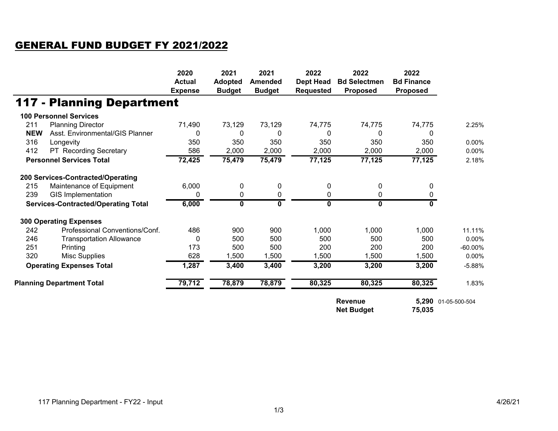## GENERAL FUND BUDGET FY 2021/2022

|                                  |                                            | 2020<br><b>Actual</b><br><b>Expense</b> | 2021<br><b>Adopted</b><br><b>Budget</b> | 2021<br>Amended<br><b>Budget</b> | 2022<br><b>Dept Head</b><br><b>Requested</b>  | 2022<br><b>Bd Selectmen</b><br><b>Proposed</b> | 2022<br><b>Bd Finance</b><br><b>Proposed</b> |            |
|----------------------------------|--------------------------------------------|-----------------------------------------|-----------------------------------------|----------------------------------|-----------------------------------------------|------------------------------------------------|----------------------------------------------|------------|
|                                  | <b>117 - Planning Department</b>           |                                         |                                         |                                  |                                               |                                                |                                              |            |
|                                  | <b>100 Personnel Services</b>              |                                         |                                         |                                  |                                               |                                                |                                              |            |
| 211                              | <b>Planning Director</b>                   | 71,490                                  | 73,129                                  | 73,129                           | 74,775                                        | 74,775                                         | 74,775                                       | 2.25%      |
| <b>NEW</b>                       | Asst. Environmental/GIS Planner            | 0                                       | 0                                       | 0                                | 0                                             | 0                                              | 0                                            |            |
| 316                              | Longevity                                  | 350                                     | 350                                     | 350                              | 350                                           | 350                                            | 350                                          | $0.00\%$   |
| 412                              | PT Recording Secretary                     | 586                                     | 2,000                                   | 2,000                            | 2,000                                         | 2,000                                          | 2,000                                        | 0.00%      |
| <b>Personnel Services Total</b>  |                                            | 72,425                                  | 75,479                                  | 75,479                           | 77,125                                        | 77,125                                         | 77,125                                       | 2.18%      |
|                                  | 200 Services-Contracted/Operating          |                                         |                                         |                                  |                                               |                                                |                                              |            |
| 215                              | Maintenance of Equipment                   | 6,000                                   | $\pmb{0}$                               | $\mathbf 0$                      | 0                                             | 0                                              | $\mathbf 0$                                  |            |
| 239                              | <b>GIS Implementation</b>                  | 0                                       | 0                                       | $\pmb{0}$                        | 0                                             | 0                                              | 0                                            |            |
|                                  | <b>Services-Contracted/Operating Total</b> | 6,000                                   | 0                                       | $\mathbf 0$                      | 0                                             | 0                                              | $\mathbf{0}$                                 |            |
|                                  | <b>300 Operating Expenses</b>              |                                         |                                         |                                  |                                               |                                                |                                              |            |
| 242                              | Professional Conventions/Conf.             | 486                                     | 900                                     | 900                              | 1,000                                         | 1,000                                          | 1,000                                        | 11.11%     |
| 246                              | <b>Transportation Allowance</b>            | 0                                       | 500                                     | 500                              | 500                                           | 500                                            | 500                                          | $0.00\%$   |
| 251                              | Printing                                   | 173                                     | 500                                     | 500                              | 200                                           | 200                                            | 200                                          | $-60.00\%$ |
| 320                              | <b>Misc Supplies</b>                       | 628                                     | 1,500                                   | 1,500                            | 1,500                                         | 1,500                                          | 1,500                                        | $0.00\%$   |
|                                  | <b>Operating Expenses Total</b>            | 1,287                                   | 3,400                                   | 3,400                            | 3,200                                         | 3,200                                          | 3,200                                        | $-5.88%$   |
| <b>Planning Department Total</b> |                                            | 79,712                                  | 78,879                                  | 78,879                           | 80,325                                        | 80,325                                         | 80,325                                       | 1.83%      |
|                                  |                                            |                                         |                                         |                                  | <b>Revenue</b><br><b>Net Budget</b><br>75,035 |                                                | 5,290 01-05-500-504                          |            |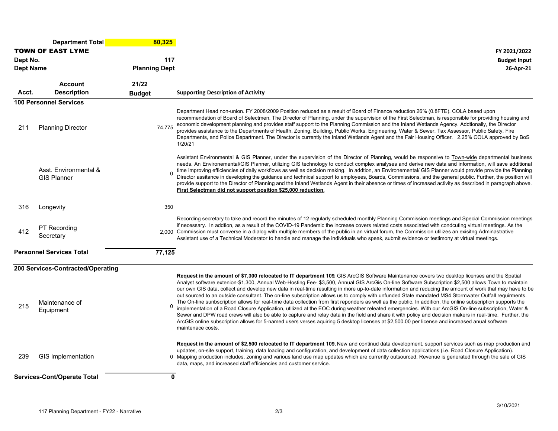|                  | <b>Department Total</b>                     | 80,325               |                                                                                                                                                                                                                                                                                                                                                                                                                                                                                                                                                                                                                                                                                                                                                                                                                                                                                                                                                                                                                                                                                                                                                                                                                                                                                  |
|------------------|---------------------------------------------|----------------------|----------------------------------------------------------------------------------------------------------------------------------------------------------------------------------------------------------------------------------------------------------------------------------------------------------------------------------------------------------------------------------------------------------------------------------------------------------------------------------------------------------------------------------------------------------------------------------------------------------------------------------------------------------------------------------------------------------------------------------------------------------------------------------------------------------------------------------------------------------------------------------------------------------------------------------------------------------------------------------------------------------------------------------------------------------------------------------------------------------------------------------------------------------------------------------------------------------------------------------------------------------------------------------|
|                  | <b>TOWN OF EAST LYME</b>                    |                      | FY 2021/2022                                                                                                                                                                                                                                                                                                                                                                                                                                                                                                                                                                                                                                                                                                                                                                                                                                                                                                                                                                                                                                                                                                                                                                                                                                                                     |
| Dept No.         |                                             | 117                  | <b>Budget Input</b>                                                                                                                                                                                                                                                                                                                                                                                                                                                                                                                                                                                                                                                                                                                                                                                                                                                                                                                                                                                                                                                                                                                                                                                                                                                              |
| <b>Dept Name</b> |                                             | <b>Planning Dept</b> | 26-Apr-21                                                                                                                                                                                                                                                                                                                                                                                                                                                                                                                                                                                                                                                                                                                                                                                                                                                                                                                                                                                                                                                                                                                                                                                                                                                                        |
|                  | <b>Account</b>                              | 21/22                |                                                                                                                                                                                                                                                                                                                                                                                                                                                                                                                                                                                                                                                                                                                                                                                                                                                                                                                                                                                                                                                                                                                                                                                                                                                                                  |
| Acct.            | <b>Description</b>                          | <b>Budget</b>        | <b>Supporting Description of Activity</b>                                                                                                                                                                                                                                                                                                                                                                                                                                                                                                                                                                                                                                                                                                                                                                                                                                                                                                                                                                                                                                                                                                                                                                                                                                        |
|                  | <b>100 Personnel Services</b>               |                      |                                                                                                                                                                                                                                                                                                                                                                                                                                                                                                                                                                                                                                                                                                                                                                                                                                                                                                                                                                                                                                                                                                                                                                                                                                                                                  |
| 211              | <b>Planning Director</b>                    | 74.775               | Department Head non-union. FY 2008/2009 Position reduced as a result of Board of Finance reduction 26% (0.8FTE). COLA based upon<br>recommendation of Board of Selectmen. The Director of Planning, under the supervision of the First Selectman, is responsible for providing housing and<br>economic development planning and provides staff support to the Planning Commission and the Inland Wetlands Agency. Addtionally, the Director<br>provides assistance to the Departments of Health, Zoning, Building, Public Works, Engineering, Water & Sewer, Tax Assessor, Public Safety, Fire<br>Departments, and Police Department. The Director is currently the Inland Wetlands Agent and the Fair Housing Officer. 2.25% COLA approved by BoS<br>1/20/21                                                                                                                                                                                                                                                                                                                                                                                                                                                                                                                    |
|                  | Asst. Environmental &<br><b>GIS Planner</b> | $\Omega$             | Assistant Environmental & GIS Planner, under the supervision of the Director of Planning, would be responsive to Town-wide departmental business<br>needs. An Environemental/GIS Planner, utilizing GIS technology to conduct complex analyses and derive new data and information, will save additional<br>time improving efficiencies of daily workflows as well as decision making. In addtion, an Environemental/ GIS Planner would provide provide the Planning<br>Director assitance in developing the guidance and technical support to employees, Boards, Commissions, and the general public. Further, the position will<br>provide support to the Director of Planning and the Inland Wetlands Agent in their absence or times of increased activity as described in paragraph above.<br>First Selectman did not support position \$25,000 reduction.                                                                                                                                                                                                                                                                                                                                                                                                                  |
| 316              | Longevity                                   | 350                  |                                                                                                                                                                                                                                                                                                                                                                                                                                                                                                                                                                                                                                                                                                                                                                                                                                                                                                                                                                                                                                                                                                                                                                                                                                                                                  |
| 412              | <b>PT Recording</b><br>Secretary            |                      | Recording secretary to take and record the minutes of 12 regularly scheduled monthly Planning Commission meetings and Special Commission meetings<br>if necessary. In addtion, as a result of the COVID-19 Pandemic the increase covers related costs associated with condcuting virtual meetings. As the<br>2,000 Commission must converse in a dialog with multiple members of the public in an virtual forum, the Commission utilizes an exisitng Adminastrative<br>Assistant use of a Technical Moderator to handle and manage the individuals who speak, submit evidence or testimony at virtual meetings.                                                                                                                                                                                                                                                                                                                                                                                                                                                                                                                                                                                                                                                                  |
|                  | <b>Personnel Services Total</b>             | 77,125               |                                                                                                                                                                                                                                                                                                                                                                                                                                                                                                                                                                                                                                                                                                                                                                                                                                                                                                                                                                                                                                                                                                                                                                                                                                                                                  |
|                  | 200 Services-Contracted/Operating           |                      |                                                                                                                                                                                                                                                                                                                                                                                                                                                                                                                                                                                                                                                                                                                                                                                                                                                                                                                                                                                                                                                                                                                                                                                                                                                                                  |
| 215              | Maintenance of<br>Equipment                 | 0                    | Request in the amount of \$7,300 relocated to IT department 109 GIS ArcGIS Software Maintenance covers two desktop licenses and the Spatial<br>Analyst software extenion-\$1,300, Annual Web-Hosting Fee- \$3,500, Annual GIS ArcGis On-line Software Subscription \$2,500 allows Town to maintain<br>our own GIS data, collect and develop new data in real-time resulting in more up-to-date information and reducing the amount of work that may have to be<br>out sourced to an outside consultant. The on-line subscription allows us to comply with unfunded State mandated MS4 Stormwater Outfall requirments.<br>The On-line sunbscription allows for real-time data collection from first reponders as well as the public. In addition, the online subscription supports the<br>implementation of a Road Closure Application, utilized at the EOC during weather releated emergencies. With our ArcGIS On-line subscription, Water &<br>Sewer and DPW road crews will also be able to capture and relay data in the field and share it with policy and decision makers in real-time. Further, the<br>ArcGIS online subscription allows for 5-named users verses aquiring 5 desktop licenses at \$2,500.00 per license and increased anual software<br>maintenace costs. |
| 239              | <b>GIS Implementation</b>                   |                      | Request in the amount of \$2,500 relocated to IT department 109. New and continud data development, support services such as map production and<br>updates, on-site support, training, data loading and configuration, and development of data collection applications (i.e. Road Closure Application).<br>0 Mapping production includes, zoning and various land use map updates which are currently outsourced. Revenue is generated through the sale of GIS<br>data, maps, and increased staff efficiencies and customer service.                                                                                                                                                                                                                                                                                                                                                                                                                                                                                                                                                                                                                                                                                                                                             |
|                  | Services-Cont/Operate Total                 | $\mathbf 0$          |                                                                                                                                                                                                                                                                                                                                                                                                                                                                                                                                                                                                                                                                                                                                                                                                                                                                                                                                                                                                                                                                                                                                                                                                                                                                                  |